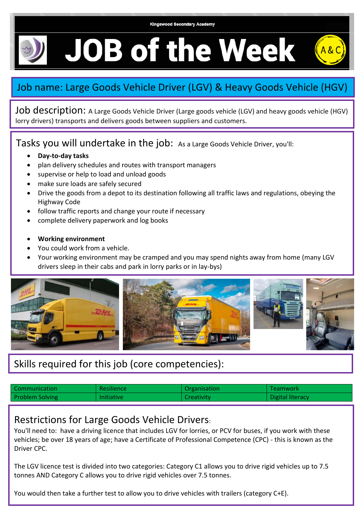**Kingswood Secondary Academy** 

**JOB of the Week** 

## Job name: Large Goods Vehicle Driver (LGV) & Heavy Goods Vehicle (HGV)

Job description: A Large Goods Vehicle Driver (Large goods vehicle (LGV) and heavy goods vehicle (HGV) lorry drivers) transports and delivers goods between suppliers and customers.

Tasks you will undertake in the job: As a Large Goods Vehicle Driver, you'll:

- **Day-to-day tasks**
- plan delivery schedules and routes with transport managers
- supervise or help to load and unload goods
- make sure loads are safely secured
- Drive the goods from a depot to its destination following all traffic laws and regulations, obeying the Highway Code
- follow traffic reports and change your route if necessary
- complete delivery paperwork and log books
- **Working environment**
- You could work from a vehicle.
- Your working environment may be cramped and you may spend nights away from home (many LGV drivers sleep in their cabs and park in lorry parks or in lay-bys)



## Skills required for this job (core competencies):

| Communication          | <b>Resilience</b> | Organisation | <b>Teamwork</b>  |
|------------------------|-------------------|--------------|------------------|
| <b>Problem Solving</b> | <b>Initiative</b> | Creativity   | Digital literacy |

## Restrictions for Large Goods Vehicle Drivers:

You'll need to: have a driving licence that includes LGV for lorries, or PCV for buses, if you work with these vehicles; be over 18 years of age; have a Certificate of Professional Competence (CPC) - this is known as the Driver CPC.

The LGV licence test is divided into two categories: Category C1 allows you to drive rigid vehicles up to 7.5 tonnes AND Category C allows you to drive rigid vehicles over 7.5 tonnes.

You would then take a further test to allow you to drive vehicles with trailers (category C+E).